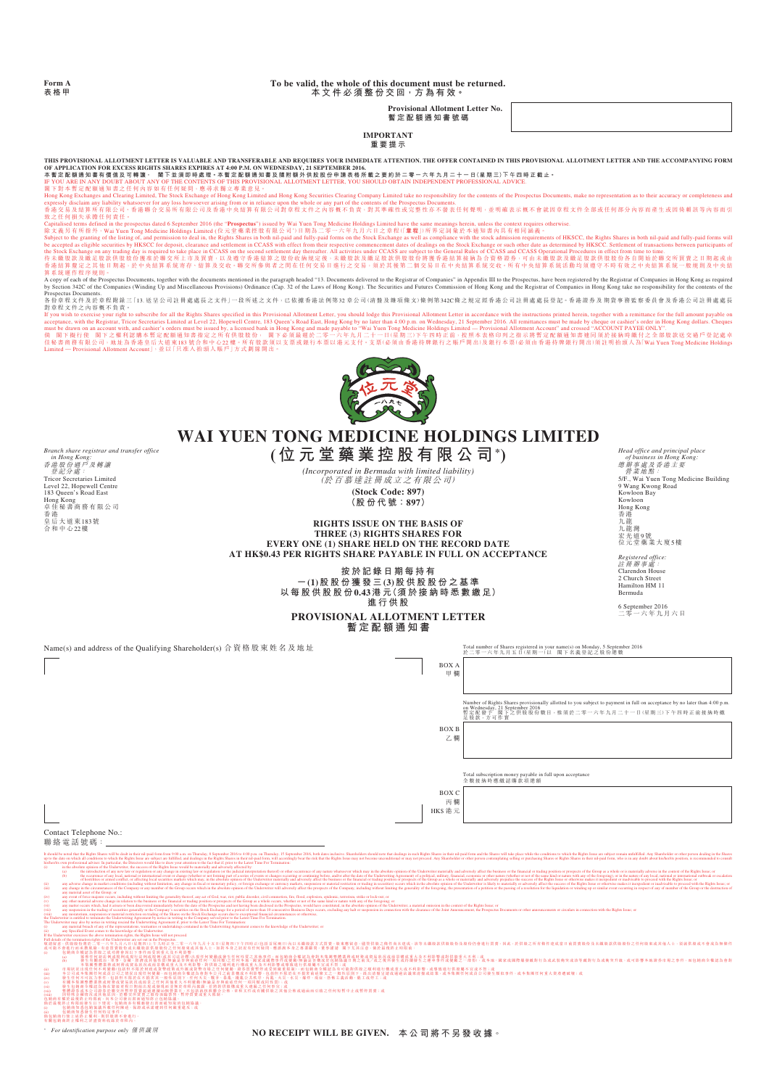**Form A 表格甲**

### **To be valid, the whole of this document must be returned. 本文件必須整份交回,方為有效。**

**Provisional Allotment Letter No.**

**暫定配額通知書號碼**

### **IMPORTANT 重要提示**

**THIS PROVISIONAL ALLOTMENT LETTER IS VALUABLE AND TRANSFERABLE AND REQUIRES YOUR IMMEDIATE ATTENTION. THE OFFER CONTAINED IN THIS PROVISIONAL ALLOTMENT LETTER AND THE ACCOMPANYING FORM**  OF APPLICATION FOR EXCESS RIGHTS SHARES EXPIRES AT 4:00 P.M. ON WEDNESDAY, 21 SEPTEMBER 2016.<br>本暫定配額通知書有價值及可轉讓 · 閣下並須即時最理 · 本暫定配額通知書及隨期的外供股股份申請表格所載之要約於二零一六年九月二十一日(星期三)下午四時正截止 ·

*Branch share registrar and transfer office* 

*in Hong Kong:*<br>香港股份過戸及轉讓<br>- 登記分處:<br>Tricor Secretaries Limited<br>Level 22, Hopewell Centre<br>183 Queen's Road East

Hong Kong 卓佳秘書商務有限公司 香 港 皇后大道東183號 合和中心22樓

IF YOU ARE IN ANY DOUBT ABOUT ANY OF THE CONTENTS OF THIS PROVISIONAL ALLOTMENT LETTER, YOU SHOULD OBTAIN INDEPENDENT PROFESSIONAL ADVICE.<br>関下對本 暫定配慮通知書之任何內容如有Clearing Limited, The Stock Exchange of Hong Kong als 専 章 意見 -<br> expressly disclim any liability whatsoever for any loss howsoever arising from or in reliance upon the whole or any part of the contents of the Propectus Documents. <br>香港文易及结算所有限公司、香港聯合文易所有限公司及香港中央结算有限公司對章程文件之內容概不負責。對其準確性或完

致Zapitalised terms defined in the prospectus dated 6 September 2016 (the "**Prospectus**") issued by Wai Yuen Tong Medicine Holdings Limited have the same meanings herein, unless the context requires otherwise.<br>Capitalised 香港結算釐定之其他日期起,於中央結算系統寄存、結算及交收。聯交所參與者之間在任何交易日進行之交易,須於其後第二個交易日在中央結 算系統交收。所有中央結算系統活動均須遵守不時有效之中央結算系統一般規則及中央結 算系統運作程序規則。

A copy of each of the Prospectus Documents, together with the documents mentioned in the paragraph headed "13. Documents delivered to the Registrar of Companies in Appendixs" In Appendixs" in Appendix in Appendix in Me in

Prospectus Documents.<br>各份章程文件及於章程附錄三「13. 送呈公司註冊處處長之文件」一段所述之文件,已依據香港法例第32章公司(清盤及雜項條文)條例第342C條之規定經香港公司註冊處處長登記。香港證券及期貨事務監察委員會及香港公司註冊處處長

對 you wish to exercise your right to subscribe for all the Rights Shares specified in this Provisional Allotment Letter, you should lodge this Provisional Allotment Letter in accordance with the instructions printed here



## **WAI YUEN TONG MEDICINE HOLDINGS LIMITED**

**(位元堂藥業控股有限公司\*)**

*(Incorporated in Bermuda with limited liability)* (於百慕達註冊成立之有限公司) **(Stock Code: 897) (股份代號:897)**

*Head office and principal place<br>
of business in Hong Kong:*<br> *巻 筹業處及香港主要*<br> *Sy*-, Wai Yuen Tong Medicine Building<br>
S/F., Wai Yuen Tong Medicine Building<br>
Kowloon Bay<br>
Kowloon Bay<br>
Hong Kong<br>
香港<br>
九龍灣

宏光道9號 位元堂藥業大廈5樓 *Registered office:* **註冊辦車息** Clarendon House 2 Church Street Hamilton HM 11 Bermuda

6 September 2016 二零一六年九月六日

**RIGHTS ISSUE ON THE BASIS OF THREE (3) RIGHTS SHARES FOR EVERY ONE (1) SHARE HELD ON THE RECORD DATE**

**AT HK\$0.43 PER RIGHTS SHARE PAYABLE IN FULL ON ACCEPTANCE**

**按於記錄日期每持有 一(1)股股份獲發三(3)股供股股份之基準 以每股供股股份0.43港 元(須於接納時悉數繳足) 進行供股 PROVISIONAL ALLOTMENT LETTER**

# **暫定配額通知書**

包銷商有權於最後終止時限前,向本公司發出署面通知承止包額協議。<br>備於最後終於法務法院所開設任何陳述、保證或承諾遭到任何嚴重違反;或<br>(ii) 包銷商知悉發生任何特定事件。<br>(ii) 包銷商知悉發生任何特定事件。

倘包銷商行使上述終止權利,則供股將不會進行。 有關包銷商終止權利之詳盡資料收錄於章程內。

Name(s) and address of the Qualifying Shareholder(s) 合資格股東姓名及地址 Total number of Shares registered in your name(s) on Monday, 5 September 2016<br>於二零一六年九月五日(星期一)以 閣下名義登記之股份總數 BOX A 甲 欄 BOX B 乙 欄  $BOX C$ 丙 欄 HK\$ 港 元 Number of Rights Shares provisionally allotted to you subject to payment in full on acceptance by no later than 4:00 p.m.<br>暫定配套予 固下之供股股份數目,惟須於二零一六年九月二十一日(星期三)下午四時正前接納時繳<br>足股款,方可作實 Total subscription money payable in full upon acceptance 全數接納時應繳認購款項總額 Contact Telephone No.: 聯絡電話號碼: It should be noted that the Rights Shares will be deak in their nil-paid form from 9:00 a.m. on Thursday, 8 September 2016 to 4:00 p.m. on Thursday, 15 September 2016 to 4:00 p.m. on Thursday, 15 September 2016 to 4:00 p.m up to the date on which all conditions to which the Rights Issue are subject are fulfilled, and dealings in the Rights Shares in their mil-paid form, will accordingly bear the risk that the Rights Issue may not become unco his/her/its own professional adviser. In particular, the Directors would like to draw your attention to the fact that if, prior to the Latest Time For Termination: (i) in the absolute opinion of the Underwriter, the success of the Rights Issue would be materially and adversely affected by: (a) the introduction of any new law or regulation or any change in existing law or regulation (or the judicial interpretation thereof) or other occurrence of any nature whatsoever which may in the absolute opinion of the U (b) the occurrence of any local, national or international event or change (whether or not forming part of a series of events or changes occurring or continuing before, and/or after the date of the Underwriting Agreement) of hostilities or armed conflict, or affecting local securities markets which may, in the absolute opinion of the Underwriter materially and adversely affect the business or the financial or trading position or prospects o (ii) any adverse change in market conditions (including without limitation, any change in Iscal or monetary policy, or foreign exchange or currency markets, suspension or material restriction or trading in securities) occu (iii) any change in the circumstances of the Company or any member of the Group occurs which in the absolute opinion of the Underwriter will adversely affect the prospects of the Company, including without limiting the gen any material asset of the Group; or (iv) any event of force majeure occurs, including without limiting the generality thereof, any act of God, war, riot, public disorder, civil commotion, fire, flood, explosion, epidemic, terrorism, strike or lock-out; or (v) any other material adverse change in relation to the business or the financial or trading position or prospects of the Group as a whole occurs, whether or not of the same kind or nature with any of the foregoing; or (vi) any matter occurs which, had it arisen or been discovered immediately before the date of the Prospectus and not having been disclosed in the Prospectus, would have constituted, in the absolute opinion of the Underwrit (vii) any suspension in the trading of securities generally or the Company's securities on the Stock Exchange for a period of more than 10 consecutive Business Days occurs, excluding any halt or suspension in connection wi (viii) any moratorium, suspension or material restriction on trading of the Shares on the Stock Exchange occurs due to exceptional financial circumstances or otherwise, the Underwriter is entitled to terminate the Underwriting Agreement by notice in writing to the Company served prior to the Latest Time For Termination. The Underwriter may also by notice in writing rescind the Underwriting Agreement if, prior to the Latest Time For Termination: (i) any partial technology and the epocnessimal controlled the the controlled into the controlled into the expected the security and the technology of the University of the Date of Fig. 2. Applicated the Security of the U

*\* For identification purpose only* 僅供識別 **NO RECEIPT WILL BE GIVEN. 本公司將不另發收據**。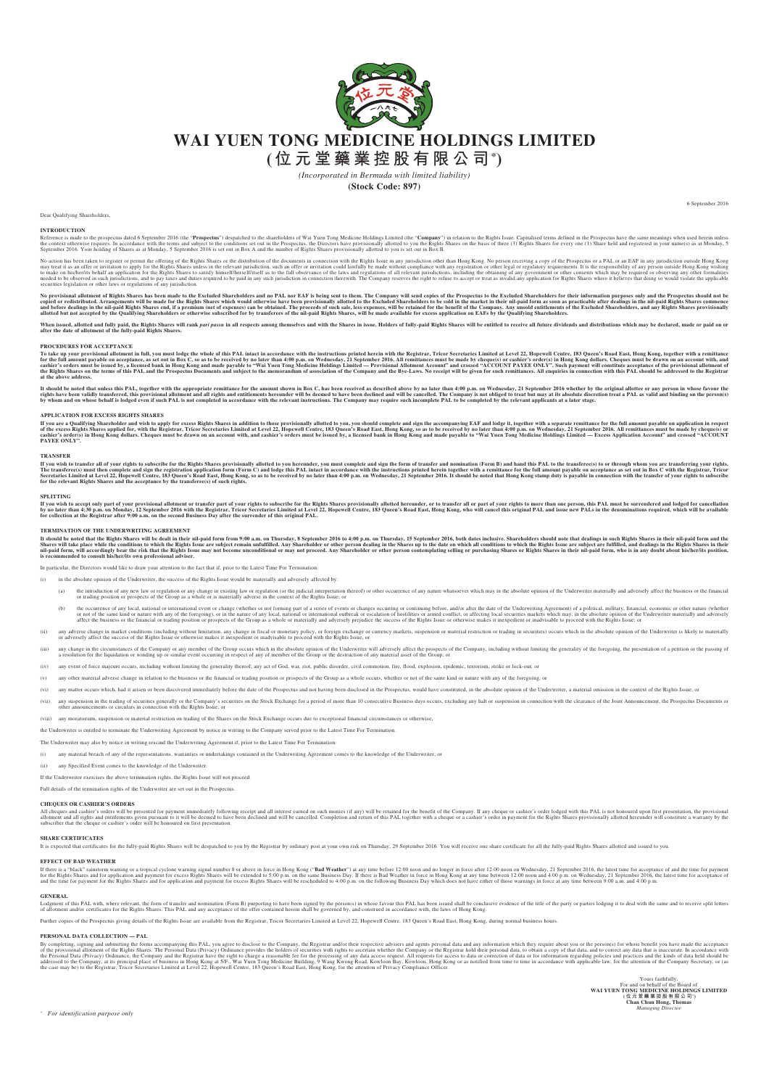

## **WAI YUEN TONG MEDICINE HOLDINGS LIMITED**

**(位元堂藥業控股有限公司\*)**

*(Incorporated in Bermuda with limited liability)*

**(Stock Code: 897)**

Dear Qualifying Shareholders,

### **INTRODUCTION**

Reference is made to the prospectus dated 6 September 2016 (the "**Prospectus**") despached to the shareholders of Wai Yuen Tong Medicine Holdings Limited (the "C**ompany**") in relation to the Rights Issue. Capitalised term a

No action has been taken to register or permit the offering of the Rights Shares or the distribution of the documents in comacred in the ability be made without complision one than Hong Kong. No person receiving a copy of

No provisional alloment of Rights Shares has been made to the Excluded Shareholders and no PAL nor EAF is being sent to them. The Company will seen a methand to the Excluded Shareholders to be sold in the market in their a

When issued, allotted and fully paid Rights Shares. What hank *pari passu* in all respects among themselves and with the Shares in issue. Holders of fully-paid Rights Shares will be entitled to receive all future dividends

PROCEDURES FOR ACCEPTANCE<br>To take up your provisional allotment in full, you must lodge the whole of this PAL intact in accordance with the instructions printed herein with the Registrar, Tricor Secretaries Limited at Leve

It should be noted that unless this PAL, together with the appropriate remittance for the amount shown in Box C, has been received as described above by no later than 4:00 p.m. on Wednesday, 21 September 2016 whether by th

### **APPLICATION FOR EXCESS RIGHTS SHARES**

If you are Qualifying Shareholder and wis to apply for excess Rights Shares in addition to those provisionally allotted to you, you should complete and sign the accompaning EAF and lodge it, together with a separate remitt

### **TRANSFER**

If you wish to transfered and your rights to subserble for the Rights Shares provisionally alloted to you hereunder, you must comedy and tright the form of transfer in the that the and have the real of the transferce is no

SPLITTING<br>If you wish to accept only part of your provisional allotment or transfer part of your rights to subscribe for the Rights Shares provisionally allotted hereunder, or to transfer all or part of your rights to more

TERMINATION OF THE UNDERWRITING AGREEMENT<br>It should be noted that the Right Shares will be death in their hil-paid form from 9:00 a.m. on Thursday, 8 September 2016 to 4:00 p.m. on Thursday, 15 September 2016, both dates i

### In particular, the Directors would like to draw your attention to the fact that if, prior to the Latest Time For Termination:

(i) in the absolute opinion of the Underwriter, the success of the Rights Issue would be materially and adversely affected by:

- (a) thirduction of any new law or regulation or any change in existing law or regulation (or the judicial interpretation thereof) or other occurrence of any nature whatsoever which may in the absolute opinion of the Underw
- (b) the occurrence of any local, national or international event or change (whether or not forming part of a series of events or changes occurring or continuing before, and/or after the date of the Underwriting Agreement)
- (ii) any adverse change in market conditions (including without limitation, any change in fiscal or monetary policy, or foreign exchange or currency markets, suspension or material restriction or trading in securities) occ
- (iii) any change in the circumstances of the Company or any member of the Group occus which in the absolute opinion of the Underwinter will adversely affect the prosect of any of member of the Group or the destruction of a
- any event of force majeure occurs, including without limiting the generality thereof, any act of God, war, riot, public disorder, civil commotion, fire, flood, explosion, epidemic, terrorism, strike or lock-out; or
- any other material adverse change in relation to the business or the financial or trading position or prospects of the Group as a whole occurs, whether or not of the same kind or nature with any of the foregoing; or
- (vi) any matter occurs which had it arisen or been discovered immediately before the date of the Prospectus and not having been disclosed in the Prospectus, would have constituted in the absolute opinion of the Underwriter
- (vii) any suspension in the trading of securities generally or the Company's securities on the Stock Exchange for a period of more than 10 consecutive Business days occurs, excluding any halt or suspension in connection wi
- (viii) any moratorium, suspension or material restriction on trading of the Shares on the Stock Exchange occurs due to exceptional financial circumstances or otherwise.
- the Underwriter is entitled to terminate the Underwriting Agreement by notice in writing to the Company served prior to the Latest Time For Termination.

The Underwriter may also by notice in writing rescind the Underwriting Agreement if, prior to the Latest Time For Termination:

- (i) any material breach of any of the representations, warranties or undertakings contained in the Underwriting Agreement comes to the knowledge of the Underwriter; or
- any Specified Event comes to the knowledge of the Underwriter.

If the Underwriter exercises the above termination rights, the Rights Issue will not proceed.

Full details of the termination rights of the Underwriter are set out in the Prospectus.

CHEQUES OR CASHIER'S ORDERS<br>all cheques and cashier's orders will be presented for payment immediately following receipt and all interest carned on such monies (if any) will be retained for the benefit of the Compay. If an

### **SHARE CERTIFICATES**

It is expected that certificates for the fully-paid Rights Shares will be despatched to you by the Registrar by ordinary post at your own risk on Thursday, 29 September 2016. You will receive one share certificate for all

EFFECT OF BAD WEATHER<br>If there is a "black" rainstorm warning or a tropical cyclone warning signal number 8 or above in force in Hong Kong ("Bad Weather") at any time before 12:00 noon and no longer in force after 12:00 no

GENERAL<br>Lodgment of this PAL with, where relevant, the form of transfer and nomination (Form B) purporting to have been signed by the person(s) in whose favour this PAL has been issued shall be conclusive evidence of the t

Further copies of the Prospectus giving details of the Rights Issue are available from the Registrar, Tricor Secretaries Limited at Level 22, Hopewell Centre, 183 Queen's Road East, Hong Kong, during normal business hours.

### **PERSONAL DATA COLLECTION — PAL**

By completing, and submitting the forms secompany in given allow that the PAL, you agree to disclose to the Company che Registrar and/or ber respective add and miormation delucators and any information expective with they

For and on behalf of the Board of<br>WAI YUEN TONG MEDICINE TO HERE THE SONG LATTED<br>The distribution purpose only<br>Manusian and the Song Hy (© 7. 2 5 A Fax 10 Character 10 Character 10 Character 10 Character 10 Character 10 C

6 September 2016